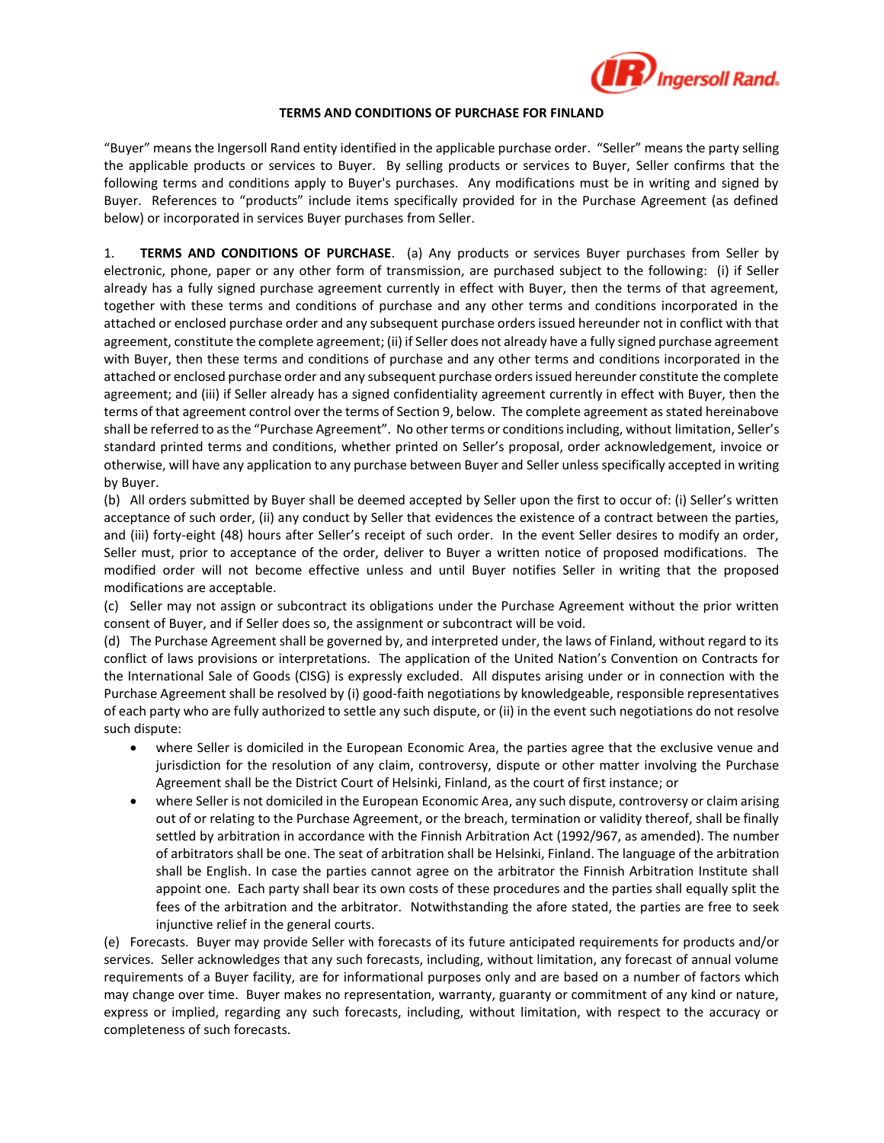

## **TERMS AND CONDITIONS OF PURCHASE FOR FINLAND**

"Buyer" means the Ingersoll Rand entity identified in the applicable purchase order. "Seller" means the party selling the applicable products or services to Buyer. By selling products or services to Buyer, Seller confirms that the following terms and conditions apply to Buyer's purchases. Any modifications must be in writing and signed by Buyer. References to "products" include items specifically provided for in the Purchase Agreement (as defined below) or incorporated in services Buyer purchases from Seller.

1. **TERMS AND CONDITIONS OF PURCHASE**. (a) Any products or services Buyer purchases from Seller by electronic, phone, paper or any other form of transmission, are purchased subject to the following: (i) if Seller already has a fully signed purchase agreement currently in effect with Buyer, then the terms of that agreement, together with these terms and conditions of purchase and any other terms and conditions incorporated in the attached or enclosed purchase order and any subsequent purchase orders issued hereunder not in conflict with that agreement, constitute the complete agreement; (ii) if Seller does not already have a fully signed purchase agreement with Buyer, then these terms and conditions of purchase and any other terms and conditions incorporated in the attached or enclosed purchase order and any subsequent purchase orders issued hereunder constitute the complete agreement; and (iii) if Seller already has a signed confidentiality agreement currently in effect with Buyer, then the terms of that agreement control over the terms of Section 9, below. The complete agreement as stated hereinabove shall be referred to as the "Purchase Agreement". No other terms or conditions including, without limitation, Seller's standard printed terms and conditions, whether printed on Seller's proposal, order acknowledgement, invoice or otherwise, will have any application to any purchase between Buyer and Seller unless specifically accepted in writing by Buyer.

(b) All orders submitted by Buyer shall be deemed accepted by Seller upon the first to occur of: (i) Seller's written acceptance of such order, (ii) any conduct by Seller that evidences the existence of a contract between the parties, and (iii) forty-eight (48) hours after Seller's receipt of such order. In the event Seller desires to modify an order, Seller must, prior to acceptance of the order, deliver to Buyer a written notice of proposed modifications. The modified order will not become effective unless and until Buyer notifies Seller in writing that the proposed modifications are acceptable.

(c) Seller may not assign or subcontract its obligations under the Purchase Agreement without the prior written consent of Buyer, and if Seller does so, the assignment or subcontract will be void.

(d) The Purchase Agreement shall be governed by, and interpreted under, the laws of Finland, without regard to its conflict of laws provisions or interpretations. The application of the United Nation's Convention on Contracts for the International Sale of Goods (CISG) is expressly excluded. All disputes arising under or in connection with the Purchase Agreement shall be resolved by (i) good-faith negotiations by knowledgeable, responsible representatives of each party who are fully authorized to settle any such dispute, or (ii) in the event such negotiations do not resolve such dispute:

- where Seller is domiciled in the European Economic Area, the parties agree that the exclusive venue and jurisdiction for the resolution of any claim, controversy, dispute or other matter involving the Purchase Agreement shall be the District Court of Helsinki, Finland, as the court of first instance; or
- where Seller is not domiciled in the European Economic Area, any such dispute, controversy or claim arising out of or relating to the Purchase Agreement, or the breach, termination or validity thereof, shall be finally settled by arbitration in accordance with the Finnish Arbitration Act (1992/967, as amended). The number of arbitrators shall be one. The seat of arbitration shall be Helsinki, Finland. The language of the arbitration shall be English. In case the parties cannot agree on the arbitrator the Finnish Arbitration Institute shall appoint one. Each party shall bear its own costs of these procedures and the parties shall equally split the fees of the arbitration and the arbitrator. Notwithstanding the afore stated, the parties are free to seek injunctive relief in the general courts.

(e) Forecasts. Buyer may provide Seller with forecasts of its future anticipated requirements for products and/or services. Seller acknowledges that any such forecasts, including, without limitation, any forecast of annual volume requirements of a Buyer facility, are for informational purposes only and are based on a number of factors which may change over time. Buyer makes no representation, warranty, guaranty or commitment of any kind or nature, express or implied, regarding any such forecasts, including, without limitation, with respect to the accuracy or completeness of such forecasts.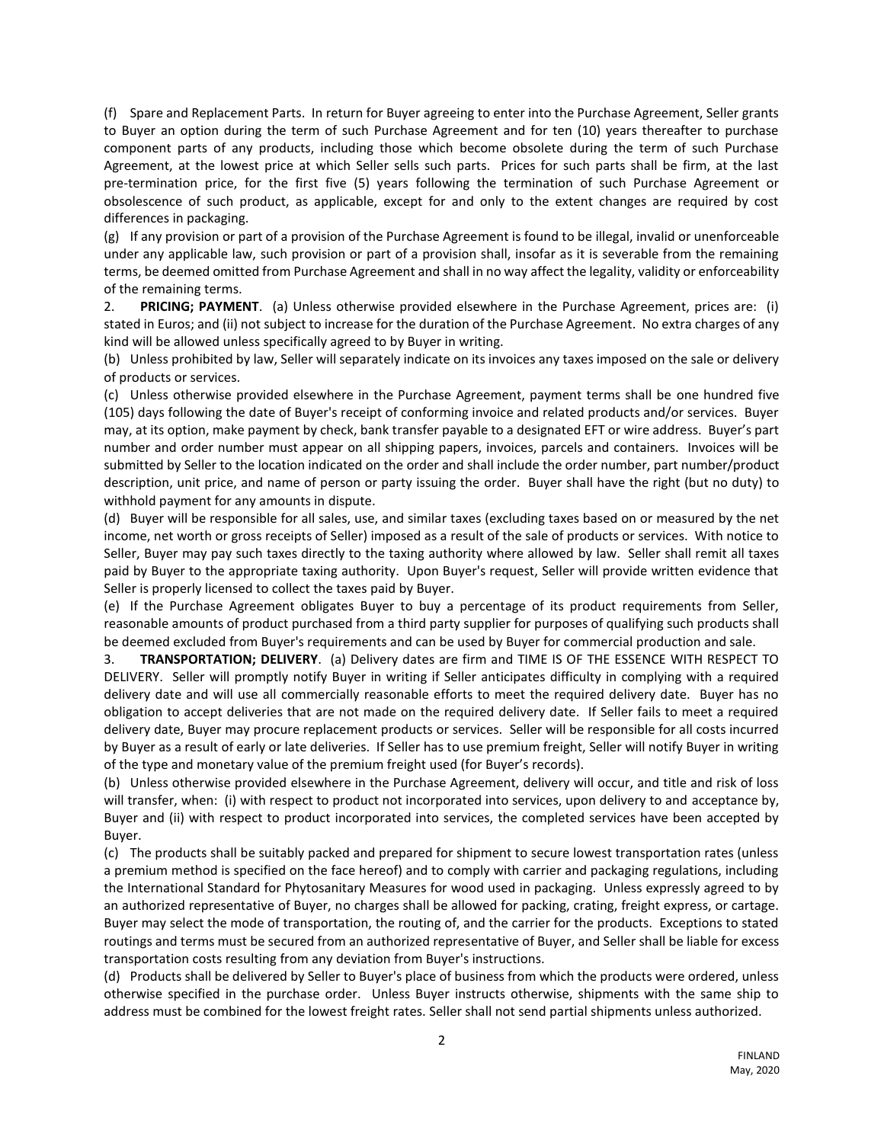(f) Spare and Replacement Parts. In return for Buyer agreeing to enter into the Purchase Agreement, Seller grants to Buyer an option during the term of such Purchase Agreement and for ten (10) years thereafter to purchase component parts of any products, including those which become obsolete during the term of such Purchase Agreement, at the lowest price at which Seller sells such parts. Prices for such parts shall be firm, at the last pre-termination price, for the first five (5) years following the termination of such Purchase Agreement or obsolescence of such product, as applicable, except for and only to the extent changes are required by cost differences in packaging.

(g) If any provision or part of a provision of the Purchase Agreement is found to be illegal, invalid or unenforceable under any applicable law, such provision or part of a provision shall, insofar as it is severable from the remaining terms, be deemed omitted from Purchase Agreement and shall in no way affect the legality, validity or enforceability of the remaining terms.

2. **PRICING; PAYMENT**. (a) Unless otherwise provided elsewhere in the Purchase Agreement, prices are: (i) stated in Euros; and (ii) not subject to increase for the duration of the Purchase Agreement. No extra charges of any kind will be allowed unless specifically agreed to by Buyer in writing.

(b) Unless prohibited by law, Seller will separately indicate on its invoices any taxes imposed on the sale or delivery of products or services.

(c) Unless otherwise provided elsewhere in the Purchase Agreement, payment terms shall be one hundred five (105) days following the date of Buyer's receipt of conforming invoice and related products and/or services. Buyer may, at its option, make payment by check, bank transfer payable to a designated EFT or wire address. Buyer's part number and order number must appear on all shipping papers, invoices, parcels and containers. Invoices will be submitted by Seller to the location indicated on the order and shall include the order number, part number/product description, unit price, and name of person or party issuing the order. Buyer shall have the right (but no duty) to withhold payment for any amounts in dispute.

(d) Buyer will be responsible for all sales, use, and similar taxes (excluding taxes based on or measured by the net income, net worth or gross receipts of Seller) imposed as a result of the sale of products or services. With notice to Seller, Buyer may pay such taxes directly to the taxing authority where allowed by law. Seller shall remit all taxes paid by Buyer to the appropriate taxing authority. Upon Buyer's request, Seller will provide written evidence that Seller is properly licensed to collect the taxes paid by Buyer.

(e) If the Purchase Agreement obligates Buyer to buy a percentage of its product requirements from Seller, reasonable amounts of product purchased from a third party supplier for purposes of qualifying such products shall be deemed excluded from Buyer's requirements and can be used by Buyer for commercial production and sale.

3. **TRANSPORTATION; DELIVERY**. (a) Delivery dates are firm and TIME IS OF THE ESSENCE WITH RESPECT TO DELIVERY. Seller will promptly notify Buyer in writing if Seller anticipates difficulty in complying with a required delivery date and will use all commercially reasonable efforts to meet the required delivery date. Buyer has no obligation to accept deliveries that are not made on the required delivery date. If Seller fails to meet a required delivery date, Buyer may procure replacement products or services. Seller will be responsible for all costs incurred by Buyer as a result of early or late deliveries. If Seller has to use premium freight, Seller will notify Buyer in writing of the type and monetary value of the premium freight used (for Buyer's records).

(b) Unless otherwise provided elsewhere in the Purchase Agreement, delivery will occur, and title and risk of loss will transfer, when: (i) with respect to product not incorporated into services, upon delivery to and acceptance by, Buyer and (ii) with respect to product incorporated into services, the completed services have been accepted by Buyer.

(c) The products shall be suitably packed and prepared for shipment to secure lowest transportation rates (unless a premium method is specified on the face hereof) and to comply with carrier and packaging regulations, including the International Standard for Phytosanitary Measures for wood used in packaging. Unless expressly agreed to by an authorized representative of Buyer, no charges shall be allowed for packing, crating, freight express, or cartage. Buyer may select the mode of transportation, the routing of, and the carrier for the products. Exceptions to stated routings and terms must be secured from an authorized representative of Buyer, and Seller shall be liable for excess transportation costs resulting from any deviation from Buyer's instructions.

(d) Products shall be delivered by Seller to Buyer's place of business from which the products were ordered, unless otherwise specified in the purchase order. Unless Buyer instructs otherwise, shipments with the same ship to address must be combined for the lowest freight rates. Seller shall not send partial shipments unless authorized.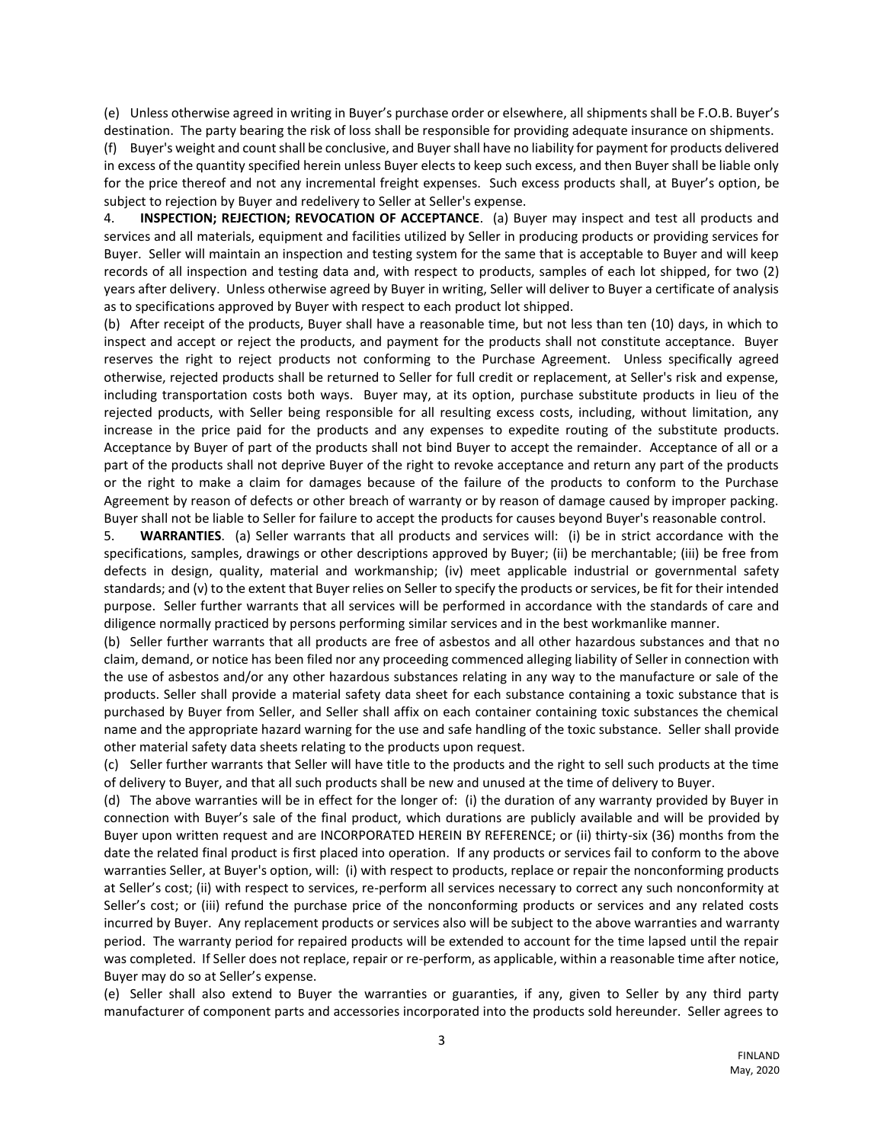(e) Unless otherwise agreed in writing in Buyer's purchase order or elsewhere, all shipments shall be F.O.B. Buyer's destination. The party bearing the risk of loss shall be responsible for providing adequate insurance on shipments.

(f) Buyer's weight and count shall be conclusive, and Buyer shall have no liability for payment for products delivered in excess of the quantity specified herein unless Buyer elects to keep such excess, and then Buyer shall be liable only for the price thereof and not any incremental freight expenses. Such excess products shall, at Buyer's option, be subject to rejection by Buyer and redelivery to Seller at Seller's expense.

4. **INSPECTION; REJECTION; REVOCATION OF ACCEPTANCE**. (a) Buyer may inspect and test all products and services and all materials, equipment and facilities utilized by Seller in producing products or providing services for Buyer. Seller will maintain an inspection and testing system for the same that is acceptable to Buyer and will keep records of all inspection and testing data and, with respect to products, samples of each lot shipped, for two (2) years after delivery. Unless otherwise agreed by Buyer in writing, Seller will deliver to Buyer a certificate of analysis as to specifications approved by Buyer with respect to each product lot shipped.

(b) After receipt of the products, Buyer shall have a reasonable time, but not less than ten (10) days, in which to inspect and accept or reject the products, and payment for the products shall not constitute acceptance. Buyer reserves the right to reject products not conforming to the Purchase Agreement. Unless specifically agreed otherwise, rejected products shall be returned to Seller for full credit or replacement, at Seller's risk and expense, including transportation costs both ways. Buyer may, at its option, purchase substitute products in lieu of the rejected products, with Seller being responsible for all resulting excess costs, including, without limitation, any increase in the price paid for the products and any expenses to expedite routing of the substitute products. Acceptance by Buyer of part of the products shall not bind Buyer to accept the remainder. Acceptance of all or a part of the products shall not deprive Buyer of the right to revoke acceptance and return any part of the products or the right to make a claim for damages because of the failure of the products to conform to the Purchase Agreement by reason of defects or other breach of warranty or by reason of damage caused by improper packing. Buyer shall not be liable to Seller for failure to accept the products for causes beyond Buyer's reasonable control.

5. **WARRANTIES**. (a) Seller warrants that all products and services will: (i) be in strict accordance with the specifications, samples, drawings or other descriptions approved by Buyer; (ii) be merchantable; (iii) be free from defects in design, quality, material and workmanship; (iv) meet applicable industrial or governmental safety standards; and (v) to the extent that Buyer relies on Seller to specify the products or services, be fit for their intended purpose. Seller further warrants that all services will be performed in accordance with the standards of care and diligence normally practiced by persons performing similar services and in the best workmanlike manner.

(b) Seller further warrants that all products are free of asbestos and all other hazardous substances and that no claim, demand, or notice has been filed nor any proceeding commenced alleging liability of Seller in connection with the use of asbestos and/or any other hazardous substances relating in any way to the manufacture or sale of the products. Seller shall provide a material safety data sheet for each substance containing a toxic substance that is purchased by Buyer from Seller, and Seller shall affix on each container containing toxic substances the chemical name and the appropriate hazard warning for the use and safe handling of the toxic substance. Seller shall provide other material safety data sheets relating to the products upon request.

(c) Seller further warrants that Seller will have title to the products and the right to sell such products at the time of delivery to Buyer, and that all such products shall be new and unused at the time of delivery to Buyer.

(d) The above warranties will be in effect for the longer of: (i) the duration of any warranty provided by Buyer in connection with Buyer's sale of the final product, which durations are publicly available and will be provided by Buyer upon written request and are INCORPORATED HEREIN BY REFERENCE; or (ii) thirty-six (36) months from the date the related final product is first placed into operation. If any products or services fail to conform to the above warranties Seller, at Buyer's option, will: (i) with respect to products, replace or repair the nonconforming products at Seller's cost; (ii) with respect to services, re-perform all services necessary to correct any such nonconformity at Seller's cost; or (iii) refund the purchase price of the nonconforming products or services and any related costs incurred by Buyer. Any replacement products or services also will be subject to the above warranties and warranty period. The warranty period for repaired products will be extended to account for the time lapsed until the repair was completed. If Seller does not replace, repair or re-perform, as applicable, within a reasonable time after notice, Buyer may do so at Seller's expense.

(e) Seller shall also extend to Buyer the warranties or guaranties, if any, given to Seller by any third party manufacturer of component parts and accessories incorporated into the products sold hereunder. Seller agrees to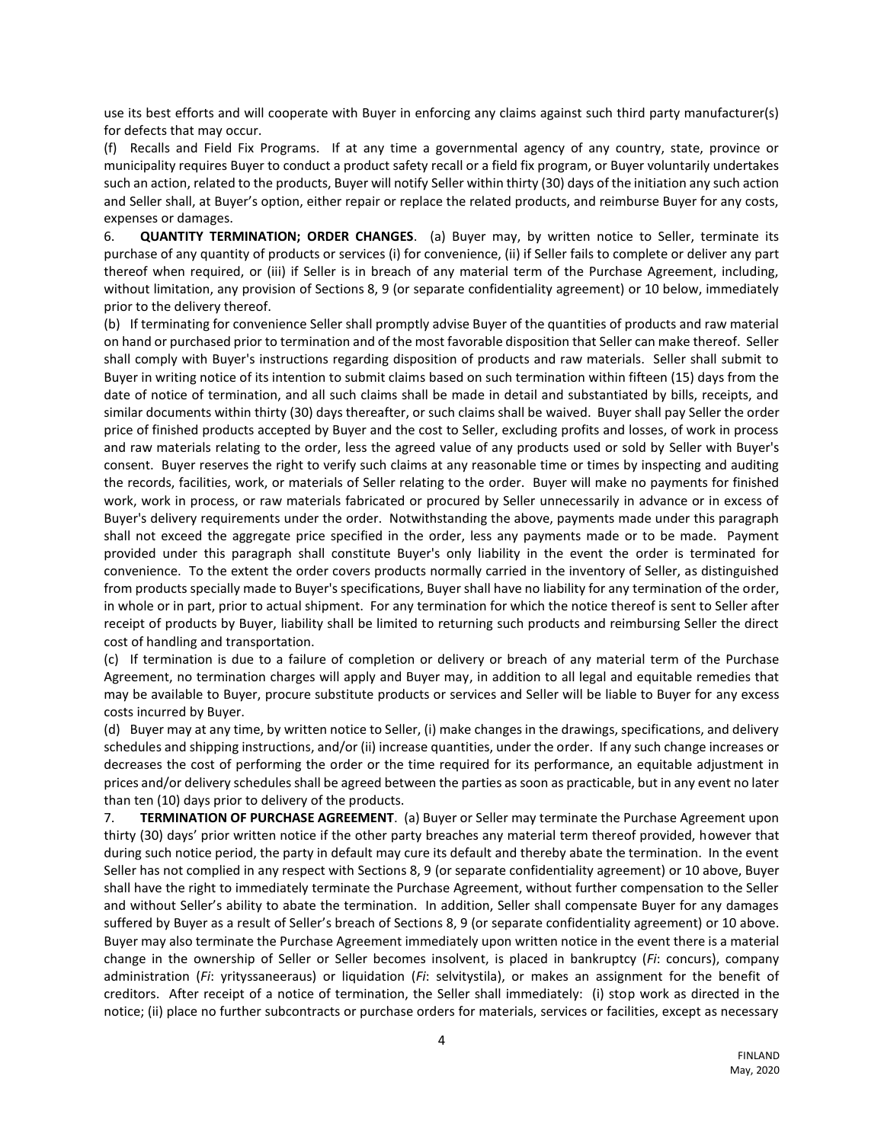use its best efforts and will cooperate with Buyer in enforcing any claims against such third party manufacturer(s) for defects that may occur.

(f) Recalls and Field Fix Programs. If at any time a governmental agency of any country, state, province or municipality requires Buyer to conduct a product safety recall or a field fix program, or Buyer voluntarily undertakes such an action, related to the products, Buyer will notify Seller within thirty (30) days of the initiation any such action and Seller shall, at Buyer's option, either repair or replace the related products, and reimburse Buyer for any costs, expenses or damages.

6. **QUANTITY TERMINATION; ORDER CHANGES**. (a) Buyer may, by written notice to Seller, terminate its purchase of any quantity of products or services (i) for convenience, (ii) if Seller fails to complete or deliver any part thereof when required, or (iii) if Seller is in breach of any material term of the Purchase Agreement, including, without limitation, any provision of Sections 8, 9 (or separate confidentiality agreement) or 10 below, immediately prior to the delivery thereof.

(b) If terminating for convenience Seller shall promptly advise Buyer of the quantities of products and raw material on hand or purchased prior to termination and of the most favorable disposition that Seller can make thereof. Seller shall comply with Buyer's instructions regarding disposition of products and raw materials. Seller shall submit to Buyer in writing notice of its intention to submit claims based on such termination within fifteen (15) days from the date of notice of termination, and all such claims shall be made in detail and substantiated by bills, receipts, and similar documents within thirty (30) days thereafter, or such claims shall be waived. Buyer shall pay Seller the order price of finished products accepted by Buyer and the cost to Seller, excluding profits and losses, of work in process and raw materials relating to the order, less the agreed value of any products used or sold by Seller with Buyer's consent. Buyer reserves the right to verify such claims at any reasonable time or times by inspecting and auditing the records, facilities, work, or materials of Seller relating to the order. Buyer will make no payments for finished work, work in process, or raw materials fabricated or procured by Seller unnecessarily in advance or in excess of Buyer's delivery requirements under the order. Notwithstanding the above, payments made under this paragraph shall not exceed the aggregate price specified in the order, less any payments made or to be made. Payment provided under this paragraph shall constitute Buyer's only liability in the event the order is terminated for convenience. To the extent the order covers products normally carried in the inventory of Seller, as distinguished from products specially made to Buyer's specifications, Buyer shall have no liability for any termination of the order, in whole or in part, prior to actual shipment. For any termination for which the notice thereof is sent to Seller after receipt of products by Buyer, liability shall be limited to returning such products and reimbursing Seller the direct cost of handling and transportation.

(c) If termination is due to a failure of completion or delivery or breach of any material term of the Purchase Agreement, no termination charges will apply and Buyer may, in addition to all legal and equitable remedies that may be available to Buyer, procure substitute products or services and Seller will be liable to Buyer for any excess costs incurred by Buyer.

(d) Buyer may at any time, by written notice to Seller, (i) make changes in the drawings, specifications, and delivery schedules and shipping instructions, and/or (ii) increase quantities, under the order. If any such change increases or decreases the cost of performing the order or the time required for its performance, an equitable adjustment in prices and/or delivery schedules shall be agreed between the parties as soon as practicable, but in any event no later than ten (10) days prior to delivery of the products.

7. **TERMINATION OF PURCHASE AGREEMENT**. (a) Buyer or Seller may terminate the Purchase Agreement upon thirty (30) days' prior written notice if the other party breaches any material term thereof provided, however that during such notice period, the party in default may cure its default and thereby abate the termination. In the event Seller has not complied in any respect with Sections 8, 9 (or separate confidentiality agreement) or 10 above, Buyer shall have the right to immediately terminate the Purchase Agreement, without further compensation to the Seller and without Seller's ability to abate the termination. In addition, Seller shall compensate Buyer for any damages suffered by Buyer as a result of Seller's breach of Sections 8, 9 (or separate confidentiality agreement) or 10 above. Buyer may also terminate the Purchase Agreement immediately upon written notice in the event there is a material change in the ownership of Seller or Seller becomes insolvent, is placed in bankruptcy (*Fi*: concurs), company administration (*Fi*: yrityssaneeraus) or liquidation (*Fi*: selvitystila), or makes an assignment for the benefit of creditors. After receipt of a notice of termination, the Seller shall immediately: (i) stop work as directed in the notice; (ii) place no further subcontracts or purchase orders for materials, services or facilities, except as necessary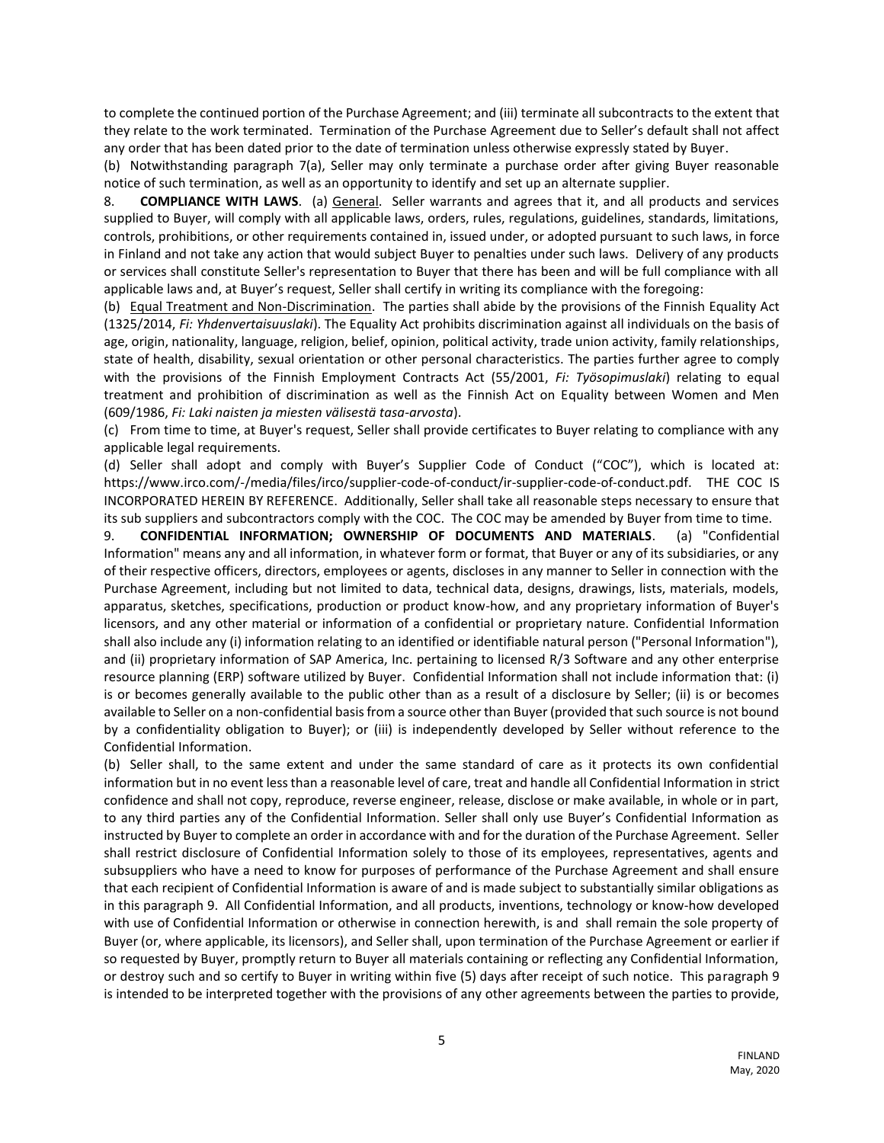to complete the continued portion of the Purchase Agreement; and (iii) terminate all subcontracts to the extent that they relate to the work terminated. Termination of the Purchase Agreement due to Seller's default shall not affect any order that has been dated prior to the date of termination unless otherwise expressly stated by Buyer.

(b) Notwithstanding paragraph 7(a), Seller may only terminate a purchase order after giving Buyer reasonable notice of such termination, as well as an opportunity to identify and set up an alternate supplier.

8. **COMPLIANCE WITH LAWS**. (a) General. Seller warrants and agrees that it, and all products and services supplied to Buyer, will comply with all applicable laws, orders, rules, regulations, guidelines, standards, limitations, controls, prohibitions, or other requirements contained in, issued under, or adopted pursuant to such laws, in force in Finland and not take any action that would subject Buyer to penalties under such laws. Delivery of any products or services shall constitute Seller's representation to Buyer that there has been and will be full compliance with all applicable laws and, at Buyer's request, Seller shall certify in writing its compliance with the foregoing:

(b) Equal Treatment and Non-Discrimination. The parties shall abide by the provisions of the Finnish Equality Act (1325/2014, *Fi: Yhdenvertaisuuslaki*). The Equality Act prohibits discrimination against all individuals on the basis of age, origin, nationality, language, religion, belief, opinion, political activity, trade union activity, family relationships, state of health, disability, sexual orientation or other personal characteristics. The parties further agree to comply with the provisions of the Finnish Employment Contracts Act (55/2001, *Fi: Työsopimuslaki*) relating to equal treatment and prohibition of discrimination as well as the Finnish Act on Equality between Women and Men (609/1986, *Fi: Laki naisten ja miesten välisestä tasa-arvosta*).

(c) From time to time, at Buyer's request, Seller shall provide certificates to Buyer relating to compliance with any applicable legal requirements.

(d) Seller shall adopt and comply with Buyer's Supplier Code of Conduct ("COC"), which is located at: https://www.irco.com/-/media/files/irco/supplier-code-of-conduct/ir-supplier-code-of-conduct.pdf. THE COC IS INCORPORATED HEREIN BY REFERENCE. Additionally, Seller shall take all reasonable steps necessary to ensure that its sub suppliers and subcontractors comply with the COC. The COC may be amended by Buyer from time to time.

9. **CONFIDENTIAL INFORMATION; OWNERSHIP OF DOCUMENTS AND MATERIALS**. (a) "Confidential Information" means any and all information, in whatever form or format, that Buyer or any of its subsidiaries, or any of their respective officers, directors, employees or agents, discloses in any manner to Seller in connection with the Purchase Agreement, including but not limited to data, technical data, designs, drawings, lists, materials, models, apparatus, sketches, specifications, production or product know-how, and any proprietary information of Buyer's licensors, and any other material or information of a confidential or proprietary nature. Confidential Information shall also include any (i) information relating to an identified or identifiable natural person ("Personal Information"), and (ii) proprietary information of SAP America, Inc. pertaining to licensed R/3 Software and any other enterprise resource planning (ERP) software utilized by Buyer. Confidential Information shall not include information that: (i) is or becomes generally available to the public other than as a result of a disclosure by Seller; (ii) is or becomes available to Seller on a non-confidential basis from a source other than Buyer (provided that such source is not bound by a confidentiality obligation to Buyer); or (iii) is independently developed by Seller without reference to the Confidential Information.

(b) Seller shall, to the same extent and under the same standard of care as it protects its own confidential information but in no event less than a reasonable level of care, treat and handle all Confidential Information in strict confidence and shall not copy, reproduce, reverse engineer, release, disclose or make available, in whole or in part, to any third parties any of the Confidential Information. Seller shall only use Buyer's Confidential Information as instructed by Buyer to complete an order in accordance with and for the duration of the Purchase Agreement. Seller shall restrict disclosure of Confidential Information solely to those of its employees, representatives, agents and subsuppliers who have a need to know for purposes of performance of the Purchase Agreement and shall ensure that each recipient of Confidential Information is aware of and is made subject to substantially similar obligations as in this paragraph 9. All Confidential Information, and all products, inventions, technology or know-how developed with use of Confidential Information or otherwise in connection herewith, is and shall remain the sole property of Buyer (or, where applicable, its licensors), and Seller shall, upon termination of the Purchase Agreement or earlier if so requested by Buyer, promptly return to Buyer all materials containing or reflecting any Confidential Information, or destroy such and so certify to Buyer in writing within five (5) days after receipt of such notice. This paragraph 9 is intended to be interpreted together with the provisions of any other agreements between the parties to provide,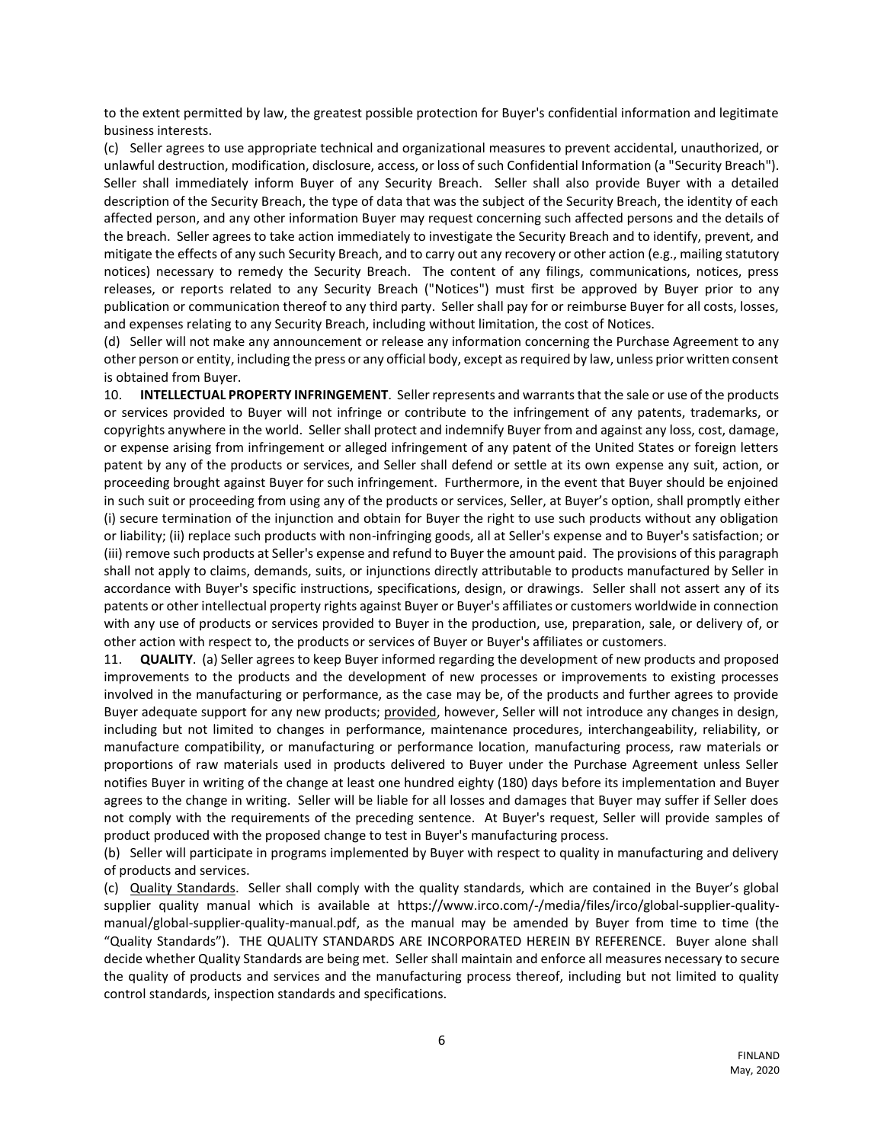to the extent permitted by law, the greatest possible protection for Buyer's confidential information and legitimate business interests.

(c) Seller agrees to use appropriate technical and organizational measures to prevent accidental, unauthorized, or unlawful destruction, modification, disclosure, access, or loss of such Confidential Information (a "Security Breach"). Seller shall immediately inform Buyer of any Security Breach. Seller shall also provide Buyer with a detailed description of the Security Breach, the type of data that was the subject of the Security Breach, the identity of each affected person, and any other information Buyer may request concerning such affected persons and the details of the breach. Seller agrees to take action immediately to investigate the Security Breach and to identify, prevent, and mitigate the effects of any such Security Breach, and to carry out any recovery or other action (e.g., mailing statutory notices) necessary to remedy the Security Breach. The content of any filings, communications, notices, press releases, or reports related to any Security Breach ("Notices") must first be approved by Buyer prior to any publication or communication thereof to any third party. Seller shall pay for or reimburse Buyer for all costs, losses, and expenses relating to any Security Breach, including without limitation, the cost of Notices.

(d) Seller will not make any announcement or release any information concerning the Purchase Agreement to any other person or entity, including the press or any official body, except as required by law, unless prior written consent is obtained from Buyer.

10. **INTELLECTUAL PROPERTY INFRINGEMENT**. Seller represents and warrants that the sale or use of the products or services provided to Buyer will not infringe or contribute to the infringement of any patents, trademarks, or copyrights anywhere in the world. Seller shall protect and indemnify Buyer from and against any loss, cost, damage, or expense arising from infringement or alleged infringement of any patent of the United States or foreign letters patent by any of the products or services, and Seller shall defend or settle at its own expense any suit, action, or proceeding brought against Buyer for such infringement. Furthermore, in the event that Buyer should be enjoined in such suit or proceeding from using any of the products or services, Seller, at Buyer's option, shall promptly either (i) secure termination of the injunction and obtain for Buyer the right to use such products without any obligation or liability; (ii) replace such products with non-infringing goods, all at Seller's expense and to Buyer's satisfaction; or (iii) remove such products at Seller's expense and refund to Buyer the amount paid. The provisions of this paragraph shall not apply to claims, demands, suits, or injunctions directly attributable to products manufactured by Seller in accordance with Buyer's specific instructions, specifications, design, or drawings. Seller shall not assert any of its patents or other intellectual property rights against Buyer or Buyer's affiliates or customers worldwide in connection with any use of products or services provided to Buyer in the production, use, preparation, sale, or delivery of, or other action with respect to, the products or services of Buyer or Buyer's affiliates or customers.

11. **QUALITY**. (a) Seller agrees to keep Buyer informed regarding the development of new products and proposed improvements to the products and the development of new processes or improvements to existing processes involved in the manufacturing or performance, as the case may be, of the products and further agrees to provide Buyer adequate support for any new products; provided, however, Seller will not introduce any changes in design, including but not limited to changes in performance, maintenance procedures, interchangeability, reliability, or manufacture compatibility, or manufacturing or performance location, manufacturing process, raw materials or proportions of raw materials used in products delivered to Buyer under the Purchase Agreement unless Seller notifies Buyer in writing of the change at least one hundred eighty (180) days before its implementation and Buyer agrees to the change in writing. Seller will be liable for all losses and damages that Buyer may suffer if Seller does not comply with the requirements of the preceding sentence. At Buyer's request, Seller will provide samples of product produced with the proposed change to test in Buyer's manufacturing process.

(b) Seller will participate in programs implemented by Buyer with respect to quality in manufacturing and delivery of products and services.

(c) Quality Standards. Seller shall comply with the quality standards, which are contained in the Buyer's global supplier quality manual which is available at https://www.irco.com/-/media/files/irco/global-supplier-qualitymanual/global-supplier-quality-manual.pdf, as the manual may be amended by Buyer from time to time (the "Quality Standards"). THE QUALITY STANDARDS ARE INCORPORATED HEREIN BY REFERENCE. Buyer alone shall decide whether Quality Standards are being met. Seller shall maintain and enforce all measures necessary to secure the quality of products and services and the manufacturing process thereof, including but not limited to quality control standards, inspection standards and specifications.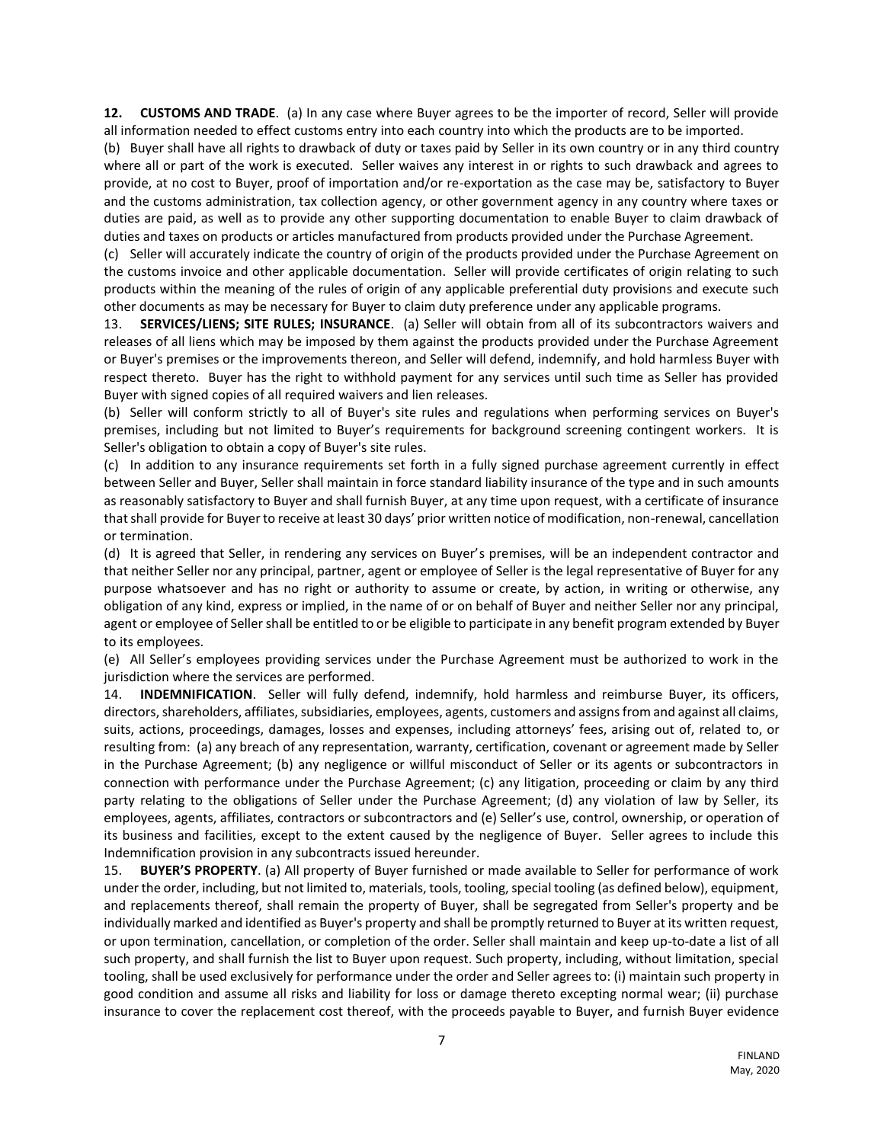**12. CUSTOMS AND TRADE**. (a) In any case where Buyer agrees to be the importer of record, Seller will provide all information needed to effect customs entry into each country into which the products are to be imported.

(b) Buyer shall have all rights to drawback of duty or taxes paid by Seller in its own country or in any third country where all or part of the work is executed. Seller waives any interest in or rights to such drawback and agrees to provide, at no cost to Buyer, proof of importation and/or re-exportation as the case may be, satisfactory to Buyer and the customs administration, tax collection agency, or other government agency in any country where taxes or duties are paid, as well as to provide any other supporting documentation to enable Buyer to claim drawback of duties and taxes on products or articles manufactured from products provided under the Purchase Agreement.

(c) Seller will accurately indicate the country of origin of the products provided under the Purchase Agreement on the customs invoice and other applicable documentation. Seller will provide certificates of origin relating to such products within the meaning of the rules of origin of any applicable preferential duty provisions and execute such other documents as may be necessary for Buyer to claim duty preference under any applicable programs.

13. **SERVICES/LIENS; SITE RULES; INSURANCE**. (a) Seller will obtain from all of its subcontractors waivers and releases of all liens which may be imposed by them against the products provided under the Purchase Agreement or Buyer's premises or the improvements thereon, and Seller will defend, indemnify, and hold harmless Buyer with respect thereto. Buyer has the right to withhold payment for any services until such time as Seller has provided Buyer with signed copies of all required waivers and lien releases.

(b) Seller will conform strictly to all of Buyer's site rules and regulations when performing services on Buyer's premises, including but not limited to Buyer's requirements for background screening contingent workers. It is Seller's obligation to obtain a copy of Buyer's site rules.

(c) In addition to any insurance requirements set forth in a fully signed purchase agreement currently in effect between Seller and Buyer, Seller shall maintain in force standard liability insurance of the type and in such amounts as reasonably satisfactory to Buyer and shall furnish Buyer, at any time upon request, with a certificate of insurance that shall provide for Buyer to receive at least 30 days' prior written notice of modification, non-renewal, cancellation or termination.

(d) It is agreed that Seller, in rendering any services on Buyer's premises, will be an independent contractor and that neither Seller nor any principal, partner, agent or employee of Seller is the legal representative of Buyer for any purpose whatsoever and has no right or authority to assume or create, by action, in writing or otherwise, any obligation of any kind, express or implied, in the name of or on behalf of Buyer and neither Seller nor any principal, agent or employee of Seller shall be entitled to or be eligible to participate in any benefit program extended by Buyer to its employees.

(e) All Seller's employees providing services under the Purchase Agreement must be authorized to work in the jurisdiction where the services are performed.

14. **INDEMNIFICATION**. Seller will fully defend, indemnify, hold harmless and reimburse Buyer, its officers, directors, shareholders, affiliates, subsidiaries, employees, agents, customers and assigns from and against all claims, suits, actions, proceedings, damages, losses and expenses, including attorneys' fees, arising out of, related to, or resulting from: (a) any breach of any representation, warranty, certification, covenant or agreement made by Seller in the Purchase Agreement; (b) any negligence or willful misconduct of Seller or its agents or subcontractors in connection with performance under the Purchase Agreement; (c) any litigation, proceeding or claim by any third party relating to the obligations of Seller under the Purchase Agreement; (d) any violation of law by Seller, its employees, agents, affiliates, contractors or subcontractors and (e) Seller's use, control, ownership, or operation of its business and facilities, except to the extent caused by the negligence of Buyer. Seller agrees to include this Indemnification provision in any subcontracts issued hereunder.

15. **BUYER'S PROPERTY**. (a) All property of Buyer furnished or made available to Seller for performance of work under the order, including, but not limited to, materials, tools, tooling, special tooling (as defined below), equipment, and replacements thereof, shall remain the property of Buyer, shall be segregated from Seller's property and be individually marked and identified as Buyer's property and shall be promptly returned to Buyer at its written request, or upon termination, cancellation, or completion of the order. Seller shall maintain and keep up-to-date a list of all such property, and shall furnish the list to Buyer upon request. Such property, including, without limitation, special tooling, shall be used exclusively for performance under the order and Seller agrees to: (i) maintain such property in good condition and assume all risks and liability for loss or damage thereto excepting normal wear; (ii) purchase insurance to cover the replacement cost thereof, with the proceeds payable to Buyer, and furnish Buyer evidence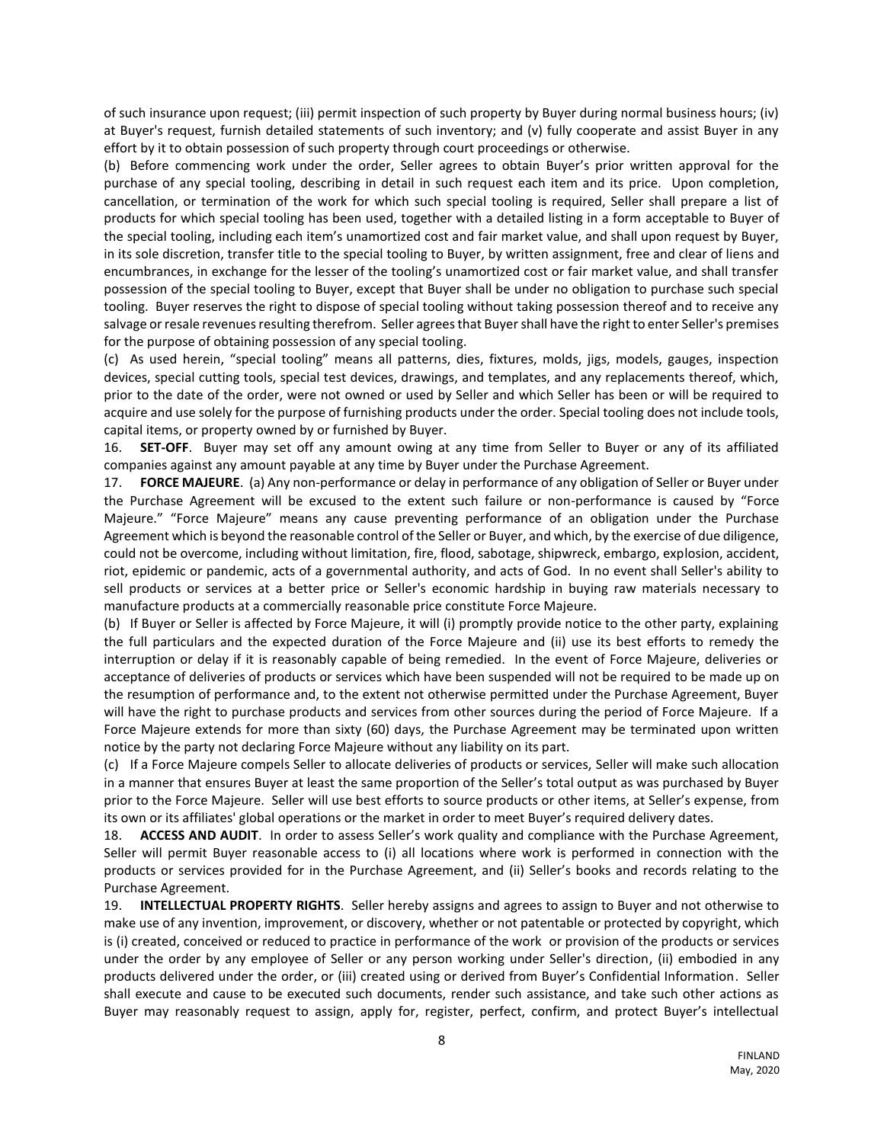of such insurance upon request; (iii) permit inspection of such property by Buyer during normal business hours; (iv) at Buyer's request, furnish detailed statements of such inventory; and (v) fully cooperate and assist Buyer in any effort by it to obtain possession of such property through court proceedings or otherwise.

(b) Before commencing work under the order, Seller agrees to obtain Buyer's prior written approval for the purchase of any special tooling, describing in detail in such request each item and its price. Upon completion, cancellation, or termination of the work for which such special tooling is required, Seller shall prepare a list of products for which special tooling has been used, together with a detailed listing in a form acceptable to Buyer of the special tooling, including each item's unamortized cost and fair market value, and shall upon request by Buyer, in its sole discretion, transfer title to the special tooling to Buyer, by written assignment, free and clear of liens and encumbrances, in exchange for the lesser of the tooling's unamortized cost or fair market value, and shall transfer possession of the special tooling to Buyer, except that Buyer shall be under no obligation to purchase such special tooling. Buyer reserves the right to dispose of special tooling without taking possession thereof and to receive any salvage or resale revenues resulting therefrom. Seller agrees that Buyer shall have the right to enter Seller's premises for the purpose of obtaining possession of any special tooling.

(c) As used herein, "special tooling" means all patterns, dies, fixtures, molds, jigs, models, gauges, inspection devices, special cutting tools, special test devices, drawings, and templates, and any replacements thereof, which, prior to the date of the order, were not owned or used by Seller and which Seller has been or will be required to acquire and use solely for the purpose of furnishing products under the order. Special tooling does not include tools, capital items, or property owned by or furnished by Buyer.

16. **SET-OFF**. Buyer may set off any amount owing at any time from Seller to Buyer or any of its affiliated companies against any amount payable at any time by Buyer under the Purchase Agreement.

17. **FORCE MAJEURE**. (a) Any non-performance or delay in performance of any obligation of Seller or Buyer under the Purchase Agreement will be excused to the extent such failure or non-performance is caused by "Force Majeure." "Force Majeure" means any cause preventing performance of an obligation under the Purchase Agreement which is beyond the reasonable control of the Seller or Buyer, and which, by the exercise of due diligence, could not be overcome, including without limitation, fire, flood, sabotage, shipwreck, embargo, explosion, accident, riot, epidemic or pandemic, acts of a governmental authority, and acts of God. In no event shall Seller's ability to sell products or services at a better price or Seller's economic hardship in buying raw materials necessary to manufacture products at a commercially reasonable price constitute Force Majeure.

(b) If Buyer or Seller is affected by Force Majeure, it will (i) promptly provide notice to the other party, explaining the full particulars and the expected duration of the Force Majeure and (ii) use its best efforts to remedy the interruption or delay if it is reasonably capable of being remedied. In the event of Force Majeure, deliveries or acceptance of deliveries of products or services which have been suspended will not be required to be made up on the resumption of performance and, to the extent not otherwise permitted under the Purchase Agreement, Buyer will have the right to purchase products and services from other sources during the period of Force Majeure. If a Force Majeure extends for more than sixty (60) days, the Purchase Agreement may be terminated upon written notice by the party not declaring Force Majeure without any liability on its part.

(c) If a Force Majeure compels Seller to allocate deliveries of products or services, Seller will make such allocation in a manner that ensures Buyer at least the same proportion of the Seller's total output as was purchased by Buyer prior to the Force Majeure. Seller will use best efforts to source products or other items, at Seller's expense, from its own or its affiliates' global operations or the market in order to meet Buyer's required delivery dates.

18. **ACCESS AND AUDIT**. In order to assess Seller's work quality and compliance with the Purchase Agreement, Seller will permit Buyer reasonable access to (i) all locations where work is performed in connection with the products or services provided for in the Purchase Agreement, and (ii) Seller's books and records relating to the Purchase Agreement.

19. **INTELLECTUAL PROPERTY RIGHTS**. Seller hereby assigns and agrees to assign to Buyer and not otherwise to make use of any invention, improvement, or discovery, whether or not patentable or protected by copyright, which is (i) created, conceived or reduced to practice in performance of the work or provision of the products or services under the order by any employee of Seller or any person working under Seller's direction, (ii) embodied in any products delivered under the order, or (iii) created using or derived from Buyer's Confidential Information. Seller shall execute and cause to be executed such documents, render such assistance, and take such other actions as Buyer may reasonably request to assign, apply for, register, perfect, confirm, and protect Buyer's intellectual